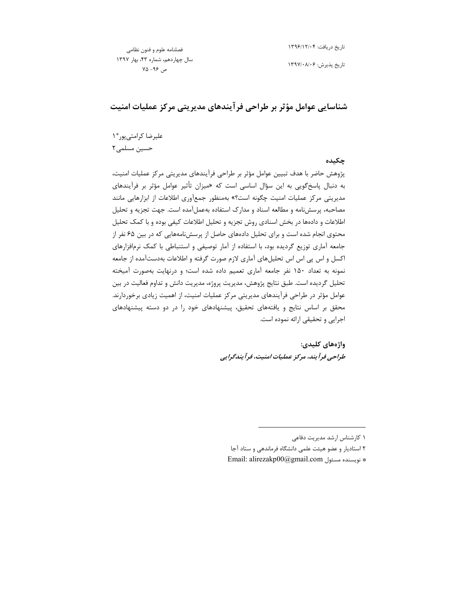فصلنامه علوم و فنون نظامى سال چهاردهم، شماره ۴۳، بهار ۱۳۹۷  $Y\Delta - 99$ ص

تاريخ دريافت: ١٣٩۶/١٢/٠۴

تاریخ پذیرش: ۱۳۹۷/۰۸/۰۶

شناسایی عوامل مؤثر بر طراحی فرآیندهای مدیریتی مرکز عملیات امنیت

عليرضا كرامتى پور\* ١ حسین مسلمی ۲

چکىدە

پژوهش حاضر با هدف تبیین عوامل مؤثر بر طراحی فرآیندهای مدیریتی مرکز عملیات امنیت، به دنبال پاسخگویی به این سؤال اساسی است که «میزان تأثیر عوامل مؤثر بر فرآیندهای مدیریتی مرکز عملیات امنیت چگونه است؟» بهمنظور جمعآوری اطلاعات از ابزارهایی مانند مصاحبه، پرسش نامه و مطالعه اسناد و مدارک استفاده بهعمل آمده است. جهت تجزیه و تحلیل اطلاعات و دادهها در بخش اسنادی روش تجزیه و تحلیل اطلاعات کیفی بوده و با کمک تحلیل محتوی انجام شده است و برای تحلیل دادههای حاصل از پرسشنامههایی که در بین ۶۵ نفر از جامعه آماری توزیع گردیده بود، با استفاده از آمار توصیفی و استنباطی با کمک نرمافزارهای اکسل و اس پی اس اس تحلیلهای آماری لازم صورت گرفته و اطلاعات بهدستآمده از جامعه نمونه به تعداد ۱۵۰ نفر جامعه آماری تعمیم داده شده است؛ و درنهایت بهصورت آمیخته تحلیل گردیده است. طبق نتایج پژوهش، مدیریت پروژه، مدیریت دانش و تداوم فعالیت در بین عوامل مؤثر در طراحی فرآیندهای مدیریتی مرکز عملیات امنیت، از اهمیت زیادی برخوردارند. محقق بر اساس نتایج و یافتههای تحقیق، پیشنهادهای خود را در دو دسته پیشنهادهای اجرایی و تحقیقی ارائه نموده است.

> واژەھاي كليدى: طراحی فرآیند، مرکز عملیات امنیت، فرآیندگرایی

- ۲ استادیار و عضو هیئت علمی دانشگاه فرماندهی و ستاد آجا
- \* نويسنده مسئول Email: alirezakp00@gmail.com

١ كارشناس ارشد مديريت دفاعى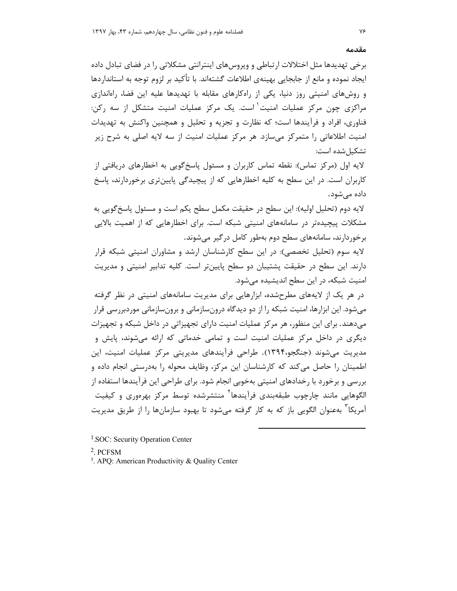برخی تهدیدها مثل اختلالات ارتباطی و ویروسهای اینترانتی مشکلاتی را در فضای تبادل داده ایجاد نموده و مانع از جابجایی بهینهی اطلاعات گشتهاند. با تأکید بر لزوم توجه به استانداردها و روشهای امنیتی روز دنیا، یکی از راهکارهای مقابله با تهدیدها علیه این فضا، راهاندازی مراکزی چون مرکز عملیات امنیت<sup>'</sup> است. یک مرکز عملیات امنیت متشکل از سه رکن: فناوری، افراد و فرآیندها است؛ که نظارت و تجزیه و تحلیل و همچنین واکنش به تهدیدات امنیت اطلاعاتی را متمرکز می سازد. هر مرکز عملیات امنیت از سه لایه اصلی به شرح زیر تشكيل شده است:

لایه اول (مرکز تماس): نقطه تماس کاربران و مسئول پاسخ گویی به اخطارهای دریافتی از کاربران است. در این سطح به کلیه اخطارهایی که از پیچیدگی پایینتری برخوردارند، پاسخ داده مے شود.

لايه دوم (تحليل اوليه): اين سطح در حقيقت مكمل سطح يكم است و مسئول پاسخ گويي به مشکلات پیچیدهتر در سامانههای امنیتی شبکه است. برای اخطارهایی که از اهمیت بالایی برخوردارند، سامانههای سطح دوم بهطور کامل درگیر می شوند.

لایه سوم (تحلیل تخصصی): در این سطح کارشناسان ارشد و مشاوران امنیتی شبکه قرار دارند. این سطح در حقیقت پشتیبان دو سطح پایینتر است. کلیه تدابیر امنیتی و مدیریت امنیت شبکه، در این سطح اندیشیده می شود.

در هر یک از لایههای مطرحشده، ابزارهایی برای مدیریت سامانههای امنیتی در نظر گرفته می شود. این ابزارها، امنیت شبکه را از دو دیدگاه درونسازمانی و برونسازمانی موردبررسی قرار میدهند. برای این منظور، هر مرکز عملیات امنیت دارای تجهیزاتی در داخل شبکه و تجهیزات دیگری در داخل مرکز عملیات امنیت است و تمامی خدماتی که ارائه می شوند، پایش و مدیریت میشوند (جنگجو،۱۳۹۴). طراحی فرآیندهای مدیریتی مرکز عملیات امنیت، این اطمینان را حاصل می کند که کارشناسان این مرکز، وظایف محوله را بهدرستی انجام داده و بررسی و برخورد با رخدادهای امنیتی بهخوبی انجام شود. برای طراحی این فرآیندها استفاده از الگوهایی مانند چارچوب طبقهبندی فرآیندها<sup>۲</sup> منتشرشده توسط مرکز بهرهوری و کیفیت آمریکا<sup>۳</sup> بهعنوان الگویی باز که به کار گرفته میشود تا بهبود سازمانها را از طریق مدیریت

- <sup>1</sup>.SOC: Security Operation Center
- $2$  PCFSM
- <sup>3</sup>. APO: American Productivity & Quality Center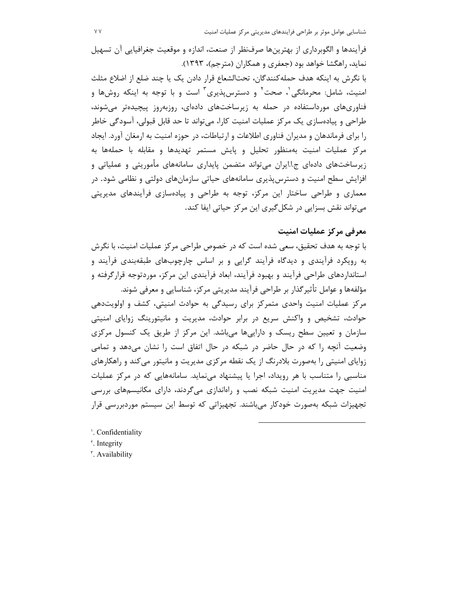فرآيندها و الگوبرداري از بهترينها صرفنظر از صنعت، اندازه و موقعيت جغرافيايي آن تسهيل نماید، راهگشا خواهد بود (جعفری و همکاران (مترجم)، ۱۳۹۳).

با نگرش به اینکه هدف حملهکنندگان، تحتالشعاع قرار دادن یک یا چند ضلع از اضلاع مثلث امنیت، شامل: محرمانگی'، صحت<sup>۲</sup> و دسترسپذیری<sup>۳</sup> است و با توجه به اینکه روشها و فناوریهای مورداستفاده در حمله به زیرساختهای دادهای، روزبهروز پیچیدهتر می شوند، طراحی و پیادهسازی یک مرکز عملیات امنیت کارا، میتواند تا حد قابل قبولی، آسودگی خاطر را برای فرماندهان و مدیران فناوری اطلاعات و ارتباطات، در حوزه امنیت به ارمغان آورد. ایجاد مرکز عملیات امنیت بهمنظور تحلیل و پایش مستمر تهدیدها و مقابله با حملهها به زیرساختهای دادهای ج.ا.ایران می تواند متضمن پایداری سامانههای مأموریتی و عملیاتی و افزایش سطح امنیت و دسترس پذیری سامانههای حیاتی سازمانهای دولتی و نظامی شود. در معماری و طراحی ساختار این مرکز، توجه به طراحی و پیادهسازی فرآیندهای مدیریتی می تواند نقش بسزایی در شکل گیری این مرکز حیاتی ایفا کند.

## معرفی مرکز عملیات امنیت

با توجه به هدف تحقیق، سعی شده است که در خصوص طراحی مرکز عملیات امنیت، با نگرش به رویکرد فرآیندی و دیدگاه فرآیند گرایی و بر اساس چارچوبهای طبقهبندی فرآیند و استانداردهای طراحی فرآیند و بهبود فرآیند، ابعاد فرآیندی این مرکز، موردتوجه قرارگرفته و مؤلفهها و عوامل تأثیر گذار بر طراحی فرآیند مدیریتی مرکز، شناسایی و معرفی شوند. مرکز عملیات امنیت واحدی متمرکز برای رسیدگی به حوادث امنیتی، کشف و اولویتدهی حوادث، تشخیص و واکنش سریع در برابر حوادث، مدیریت و مانیتورینگ زوایای امنیتی سازمان و تعیین سطح ریسک و داراییها می باشد. این مرکز از طریق یک کنسول مرکزی وضعیت آنچه را که در حال حاضر در شبکه در حال اتفاق است را نشان می دهد و تمامی زوایای امنیتی را بهصورت بلادرنگ از یک نقطه مرکزی مدیریت و مانیتور می کند و راهکارهای مناسبی را متناسب با هر رویداد، اجرا یا پیشنهاد می نماید. سامانههایی که در مرکز عملیات امنیت جهت مدیریت امنیت شبکه نصب و راهاندازی می گردند، دارای مکانیسمهای بررسی تجهیزات شبکه بهصورت خودکار میباشند. تجهیزاتی که توسط این سیستم موردبررسی قرار

'. Confidentiality <sup>r</sup>. Integrity

". Availability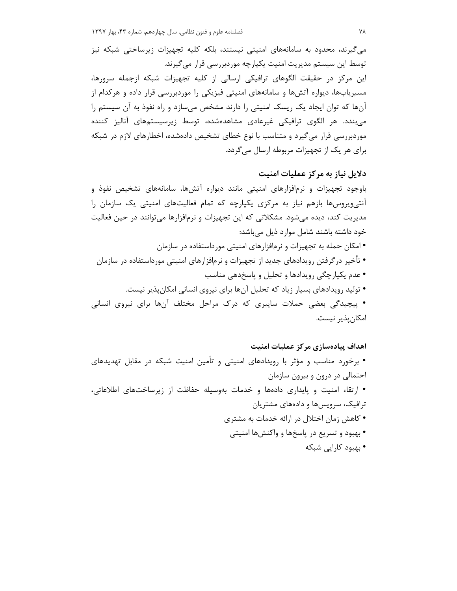میگیرند، محدود به سامانههای امنیتی نیستند، بلکه کلیه تجهیزات زیرساختی شبکه نیز توسط این سیستم مدیریت امنیت یکپارچه موردبررسی قرار می گیرند. این مرکز در حقیقت الگوهای ترافیکی ارسالی از کلیه تجهیزات شبکه ازجمله سرورها، مسیریابها، دیواره آتشها و سامانههای امنیتی فیزیکی را موردبررسی قرار داده و هرکدام از آنها که توان ایجاد یک ریسک امنیتی را دارند مشخص می سازد و راه نفوذ به آن سیستم را می بندد. هر الگوی ترافیکی غیرعادی مشاهدهشده، توسط زیرسیستمهای آنالیز کننده موردبررسی قرار میگیرد و متناسب با نوع خطای تشخیص دادهشده، اخطارهای لازم در شبکه برای هر یک از تجهیزات مربوطه ارسال می گردد.

#### دلایل نیاز به مرکز عملیات امنیت

باوجود تجهیزات و نرمافزارهای امنیتی مانند دیواره آتش۵ما، سامانههای تشخیص نفوذ و آنتی ویروس ها بازهم نیاز به مرکزی یکپارچه که تمام فعالیتهای امنیتی یک سازمان را مدیریت کند، دیده میشود. مشکلاتی که این تجهیزات و نرمافزارها میتوانند در حین فعالیت خود داشته باشند شامل موارد ذیل میباشد: • امکان حمله به تجهیزات و نرمافزارهای امنیتی مورداستفاده در سازمان • تأخیر در گرفتن رویدادهای جدید از تجهیزات و نرمافزارهای امنیتی مورداستفاده در سازمان • عدم یکپارچگی رویدادها و تحلیل و پاسخدهی مناسب • تولید رویدادهای بسیار زیاد که تحلیل آنها برای نیروی انسانی امکان پذیر نیست. • پیچیدگی بعضی حملات سایبری که درک مراحل مختلف آنها برای نیروی انسانی امكان يذير نيست.

# اهداف پیادهسازی مرکز عملیات امنیت • برخورد مناسب و مؤثر با رویدادهای امنیتی و تأمین امنیت شبکه در مقابل تهدیدهای احتمالی در درون و بیرون سازمان • ارتقاء امنیت و پایداری دادهها و خدمات بهوسیله حفاظت از زیرساختهای اطلاعاتی، ترافیک، سرویسها و دادههای مشتریان • کاهش زمان اختلال در ارائه خدمات به مشتری • بهبود و تسریع در پاسخها و واکنشها امنیتی

• بھبود کارایے شبکه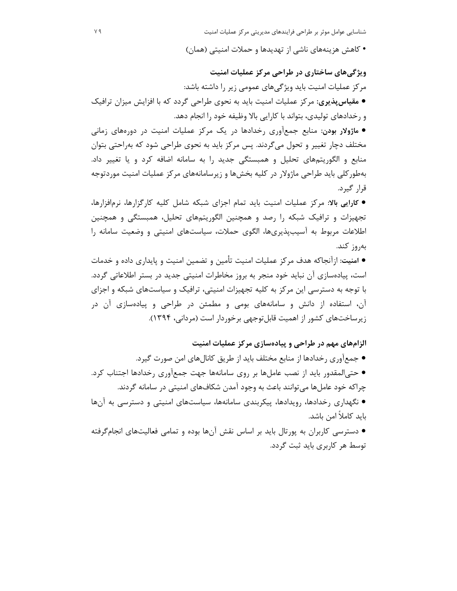• کاهش هزینههای ناشی از تهدیدها و حملات امنیتی (همان)

ویژگیهای ساختاری در طراحی مرکز عملیات امنیت مرکز عملیات امنیت باید ویژگیهای عمومی زیر را داشته باشد: ● مقیاس پذیری: مرکز عملیات امنیت باید به نحوی طراحی گردد که با افزایش میزان ترافیک و رخدادهای تولیدی، بتواند با کارایی بالا وظیفه خود را انجام دهد.

● ماژولار بودن: منابع جمعآوری رخدادها در یک مرکز عملیات امنیت در دورههای زمانی مختلف دچار تغییر و تحول میگردند. پس مرکز باید به نحوی طراحی شود که بهراحتی بتوان منابع و الگوریتمهای تحلیل و همبستگی جدید را به سامانه اضافه کرد و یا تغییر داد. بهطور کلی باید طراحی ماژولار در کلیه بخشها و زیرسامانههای مرکز عملیات امنیت موردتوجه قرار گیرد.

● کارایی بالا: مرکز عملیات امنیت باید تمام اجزای شبکه شامل کلیه کارگزارها، نرمافزارها، تجهیزات و ترافیک شبکه را رصد و همچنین الگوریتمهای تحلیل، همبستگی و همچنین اطلاعات مربوط به آسیبپذیریها، الگوی حملات، سیاستهای امنیتی و وضعیت سامانه را بەروز كند.

● امنیت: ازآنجاکه هدف مرکز عملیات امنیت تأمین و تضمین امنیت و پایداری داده و خدمات است، پیادهسازی آن نباید خود منجر به بروز مخاطرات امنیتی جدید در بستر اطلاعاتی گردد. با توجه به دسترسی این مرکز به کلیه تجهیزات امنیتی، ترافیک و سیاستهای شبکه و اجزای آن، استفاده از دانش و سامانههای بومی و مطمئن در طراحی و پیادهسازی آن در زیرساختهای کشور از اهمیت قابل توجهی برخوردار است (مردانی، ۱۳۹۴).

الزامهای مهم در طراحی و پیادهسازی مرکز عملیات امنیت

- جمعآوری رخدادها از منابع مختلف باید از طریق کانالهای امن صورت گیرد.
- حتىالمقدور بايد از نصب عاملها بر روى سامانهها جهت جمعآورى رخدادها اجتناب كرد. چراکه خود عاملها می توانند باعث به وجود آمدن شکافهای امنیتی در سامانه گردند.
- نگهداری رخدادها، رویدادها، پیکربندی سامانهها، سیاستهای امنیتی و دسترسی به آنها بايد كاملاً امن باشد.
- دسترسی کاربران به پورتال باید بر اساس نقش آنها بوده و تمامی فعالیتهای انجامگرفته توسط هر کاربری باید ثبت گردد.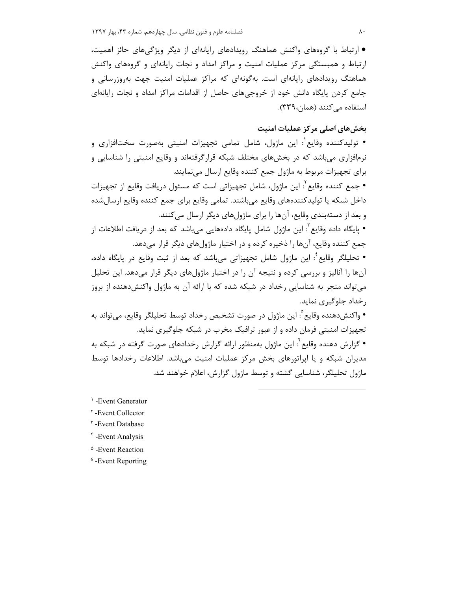● ارتباط با گروههای واکنش هماهنگ رویدادهای رایانهای از دیگر ویژگیهای حائز اهمیت، ارتباط و همبستگی مرکز عملیات امنیت و مراکز امداد و نجات رایانهای و گروههای واکنش هماهنگ رویدادهای رایانهای است. بهگونهای که مراکز عملیات امنیت جهت بهروزرسانی و جامع کردن پایگاه دانش خود از خروجی های حاصل از اقدامات مراکز امداد و نجات رایانهای استفاده می کنند (همان، ٣٣٩).

# بخشهای اصلی مرکز عملیات امنیت

• توليدكننده وقايع ٰ: اين ماژول، شامل تمامي تجهيزات امنيتي بهصورت سختافزاري و نرمافزاری می باشد که در بخشهای مختلف شبکه قرارگرفتهاند و وقایع امنیتی را شناسایی و براي تجهيزات مربوط به ماژول جمع كننده وقايع ارسال مينمايند.

• جمع كننده وقايع ٌ: اين ماژول، شامل تجهيزاتي است كه مسئول دريافت وقايع از تجهيزات داخل شبكه يا توليدكنندههاى وقايع مىباشند. تمامى وقايع براى جمع كننده وقايع ارسالشده و بعد از دستهبندي وقايع، آنها را براي ماژولهاي ديگر ارسال ميكنند.

• پایگاه داده وقایع ؒ: این ماژول شامل پایگاه دادههایی میباشد که بعد از دریافت اطلاعات از جمع كننده وقايع، آنها را ذخيره كرده و در اختيار ماژول هاي ديگر قرار مي دهد.

• تحليلگر وقايع ٔ: اين ماژول شامل تجهيزاتي ميباشد كه بعد از ثبت وقايع در پايگاه داده، آنها را آنالیز و بررسی کرده و نتیجه آن را در اختیار ماژولهای دیگر قرار میدهد. این تحلیل میتواند منجر به شناسایی رخداد در شبکه شده که با ارائه آن به ماژول واکنشدهنده از بروز , خداد جلوگیری نماید.

• واكنشدهنده وقايع ْ: اين ماژول در صورت تشخيص رخداد توسط تحليلگر وقايع، مي¤واند به تجهیزات امنیتی فرمان داده و از عبور ترافیک مخرب در شبکه جلوگیری نماید. • گزارش دهنده وقایع`: این ماژول بهمنظور ارائه گزارش رخدادهای صورت گرفته در شبکه به مدیران شبکه و یا اپراتورهای بخش مرکز عملیات امنیت میباشد. اطلاعات رخدادها توسط ماژول تحلیلگر، شناسایی گشته و توسط ماژول گزارش، اعلام خواهند شد.

 $\overline{a}$ 

1 -Event Generator

<sup>r</sup>-Event Collector

<sup>r</sup>-Event Database

4 -Event Analysis

<sup> $\triangle$ </sup> -Event Reaction

<sup>6</sup> -Event Reporting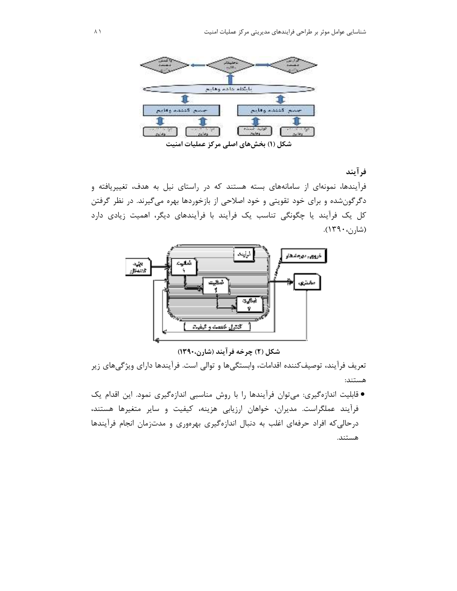

فرآيند

فرآیندها، نمونهای از سامانههای بسته هستند که در راستای نیل به هدف، تغییریافته و دگرگونشده و برای خود تقویتی و خود اصلاحی از بازخوردها بهره میگیرند. در نظر گرفتن کل یک فرآیند یا چگونگی تناسب یک فرآیند با فرآیندهای دیگر، اهمیت زیادی دارد (شا<sub>رن</sub>، ۱۳۹۰).



شکل (۲) چرخه فر آیند (شارن،۱۳۹۰)

تعریف فرآیند، توصیفکننده اقدامات، وابستگیها و توالی است. فرآیندها دارای ویژگیهای زیر هستند:

● قابلیت اندازهگیری: میتوان فرآیندها را با روش مناسبی اندازهگیری نمود. این اقدام یک فرأيند عملگراست. مديران، خواهان ارزيابي هزينه، كيفيت و ساير متغيرها هستند، درحالی که افراد حرفهای اغلب به دنبال اندازهگیری بهرهوری و مدتزمان انجام فرآیندها هستند.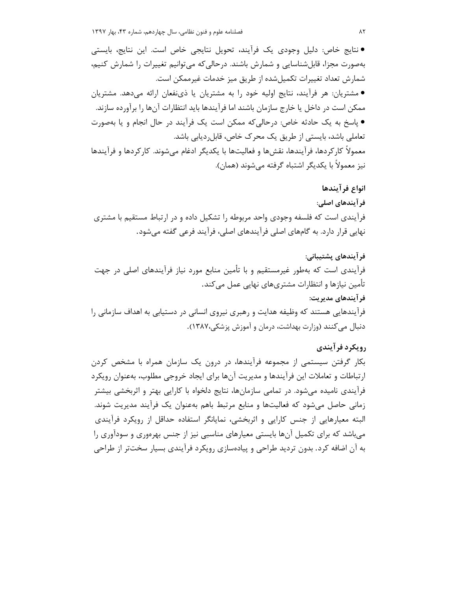● نتايج خاص: دليل وجودي يک فرآيند، تحويل نتايجي خاص است. اين نتايج، بايستي بهصورت مجزا، قابلشناسایی و شمارش باشند. درحالی که می توانیم تغییرات را شمارش کنیم، شمارش تعداد تغییرات تکمیل شده از طریق میز خدمات غیرممکن است. ● مشتریان: هر فرآیند، نتایج اولیه خود را به مشتریان یا ذینفعان ارائه میدهد. مشتریان ممکن است در داخل یا خارج سازمان باشند اما فرآیندها باید انتظارات آنها را برآورده سازند. ● پاسخ به یک حادثه خاص: درحالی که ممکن است یک فرآیند در حال انجام و یا بهصورت تعاملی باشد، بایستی از طریق یک محرک خاص، قابل دیابی باشد. معمولاً کارکردها، فرآیندها، نقشها و فعالیتها با یکدیگر ادغام می،شوند. کارکردها و فرآیندها نيز معمولاً با يكديگر اشتباه گرفته ميشوند (همان).

#### انواع فرآيندها

فر آیندهای اصلی: فرآیندی است که فلسفه وجودی واحد مربوطه را تشکیل داده و در ارتباط مستقیم با مشتری نهایی قرار دارد. به گامهای اصلی فرآیندهای اصلی، فرآیند فرعی گفته می شود.

فرآيندهاي پشتيباني: فرآیندی است که بهطور غیرمستقیم و با تأمین منابع مورد نیاز فرآیندهای اصلی در جهت تأمین نیازها و انتظارات مشتریهای نهایی عمل می کند. فر آیندهای مدیریت: فرآیندهایی هستند که وظیفه هدایت و رهبری نیروی انسانی در دستیابی به اهداف سازمانی را دنبال می کنند (وزارت بهداشت، درمان و آموزش پزشکی،۱۳۸۷).

## رويكرد فرآيندي

بکار گرفتن سیستمی از مجموعه فرآیندها، در درون یک سازمان همراه با مشخص کردن ارتباطات و تعاملات این فرآیندها و مدیریت آنها برای ایجاد خروجی مطلوب، بهعنوان رویکرد فرآیندی نامیده میشود. در تمامی سازمانها، نتایج دلخواه با کارایی بهتر و اثربخشی بیشتر زمانی حاصل میشود که فعالیتها و منابع مرتبط باهم بهعنوان یک فرآیند مدیریت شوند. البته معیارهایی از جنس کارایی و اثربخشی، نمایانگر استفاده حداقل از رویکرد فرآیندی می باشد که برای تکمیل آنها بایستی معیارهای مناسبی نیز از جنس بهرهوری و سودآوری را به آن اضافه کرد. بدون تردید طراحی و پیادهسازی رویکرد فرآیندی بسیار سختتر از طراحی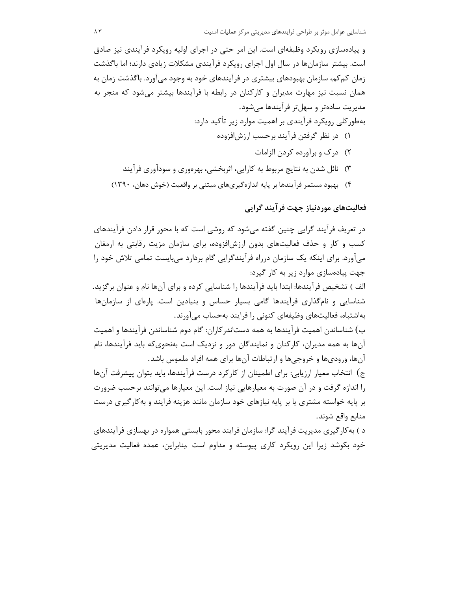و پیادهسازی رویکرد وظیفهای است. این امر حتی در اجرای اولیه رویکرد فرآیندی نیز صادق است. بیشتر سازمانها در سال اول اجرای رویکرد فرآیندی مشکلات زیادی دارند؛ اما باگذشت زمان کم کم، سازمان بهبودهای بیشتری در فرآیندهای خود به وجود می آورد. باگذشت زمان به همان نسبت نیز مهارت مدیران و کارکنان در رابطه با فرآیندها بیشتر می شود که منجر به مدیریت سادهتر و سهلتر فرآیندها میشود. بهطورکلی رویکرد فرآیندی بر اهمیت موارد زیر تأکید دارد: ۱) در نظر گرفتن فرآیند برحسب ارزشافزوده ٢) درک و برآورده کردن الزامات ۳) نائل شدن به نتایج مربوط به کارایی، اثربخشی، بهرهوری و سودآوری فرآیند ۴) بهبود مستمر فرآیندها بر پایه اندازهگیریهای مبتنی بر واقعیت (خوش دهان، ۱۳۹۰)

فعالیتهای موردنیاز جهت فرآیند گرایی

در تعریف فرآیند گرایی چنین گفته میشود که روشی است که با محور قرار دادن فرآیندهای کسب و کار و حذف فعالیتهای بدون ارزشافزوده، برای سازمان مزیت رقابتی به ارمغان میآورد. برای اینکه یک سازمان درراه فرآیندگرایی گام بردارد میبایست تمامی تلاش خود را جهت پیادهسازی موارد زیر به کار گیرد:

الف ) تشخیص فرآیندها: ابتدا باید فرآیندها را شناسایی کرده و برای آنها نام و عنوان برگزید. شناسایی و نامگذاری فرآیندها گامی بسیار حساس و بنیادین است. پارهای از سازمانها بهاشتباه، فعالیتهای وظیفهای کنونی را فرایند بهحساب می آورند.

ب) شناساندن اهميت فرآيندها به همه دستاندركاران: گام دوم شناساندن فرآيندها و اهميت آنها به همه مدیران، کارکنان و نمایندگان دور و نزدیک است بهنحویکه باید فرآیندها، نام آنها، وروديها و خروجيها و ارتباطات آنها براي همه افراد ملموس باشد.

ج) انتخاب معيار ارزيابي: براي اطمينان از كاركرد درست فرآيندها، بايد بتوان پيشرفت آنها را اندازه گرفت و در آن صورت به معیارهایی نیاز است. این معیارها می توانند برحسب ضرورت بر پایه خواسته مشتری یا بر پایه نیازهای خود سازمان مانند هزینه فرایند و به کارگیری درست منابع واقع شوند.

د ) به کار گیری مدیریت فرآیند گرا: سازمان فرایند محور بایستی همواره در بهسازی فرآیندهای خود بکوشد زیرا این رویکرد کاری پیوسته و مداوم است .بنابراین، عمده فعالیت مدیریتی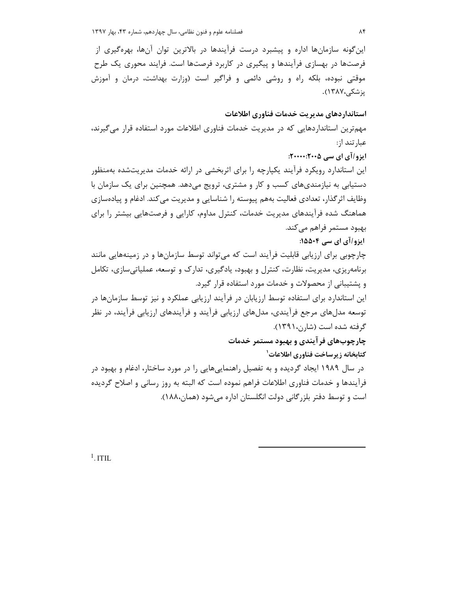این گونه سازمانها اداره و پیشبرد درست فرآیندها در بالاترین توان آنها، بهرهگیری از فرصتها در بهسازی فرآیندها و پیگیری در کاربرد فرصتها است. فرایند محوری یک طرح موقتی نبوده، بلکه راه و روشی دائمی و فراگیر است (وزارت بهداشت، درمان و آموزش یز شکے ،۱۳۸۷).

استانداردهاي مديريت خدمات فناوري اطلاعات مهمترین استانداردهایی که در مدیریت خدمات فناوری اطلاعات مورد استفاده قرار می گیرند، عبار تند از: ایزو/آی ای سے ۲۰۰۵:۰۰۰:۲۰۰۰: این استاندارد رویکرد فرآیند یکپارچه را برای اثربخشی در ارائه خدمات مدیریتشده بهمنظور دستیابی به نیازمندیهای کسب و کار و مشتری، ترویج می دهد. همچنین برای یک سازمان با وظایف اثر گذار، تعدادی فعالیت بههم پیوسته را شناسایی و مدیریت می کند. ادغام و پیادهسازی هماهنگ شده فرآیندهای مدیریت خدمات، کنترل مداوم، کارایی و فرصتهایی بیشتر را برای بهبود مستمر فراهم می کند. ایزو/آی ای سی ۱۵۵۰۴: چارچوبی برای ارزیابی قابلیت فرآیند است که می¤واند توسط سازمانها و در زمینههایی مانند برنامه یزی، مدیریت، نظارت، کنترل و بهبود، یادگیری، تدارک و توسعه، عملیاتی سازی، تکامل و یشتیبانی از محصولات و خدمات مورد استفاده قرار گیرد.

این استاندارد برای استفاده توسط ارزیابان در فرآیند ارزیابی عملکرد و نیز توسط سازمانها در توسعه مدلهای مرجع فرآیندی، مدلهای ارزیابی فرآیند و فرآیندهای ارزیابی فرآیند، در نظر گرفته شده است (شارن، ۱۳۹۱).

چارچوبهای فر آیندی و بهبود مستمر خدمات کتابخانه زیرساخت فناوری اطلاعات<sup>۱</sup> در سال ۱۹۸۹ ایجاد گردیده و به تفصیل راهنماییهایی را در مورد ساختار، ادغام و بهبود در فرآیندها و خدمات فناوری اطلاعات فراهم نموده است که البته به روز رسانی و اصلاح گردیده است و توسط دفتر بلزر گانی دولت انگلستان اداره می شود (همان۱۸۸،).

 $1.1$ TIL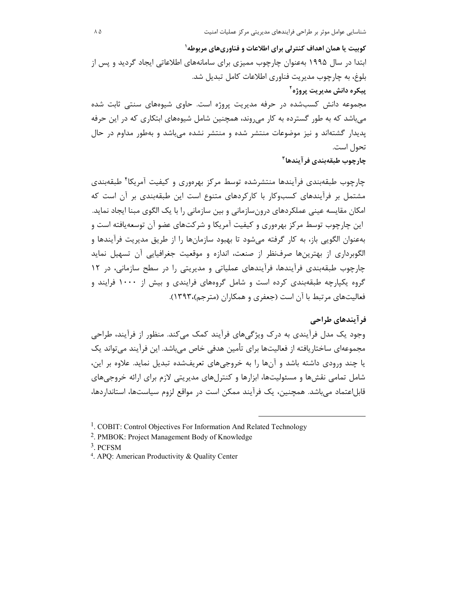کوبیت یا همان اهداف کنترلی برای اطلاعات و فناوریهای مربوطه ٰ ابتدا در سال ۱۹۹۵ بهعنوان چارچوب ممیزی برای سامانههای اطلاعاتی ایجاد گردید و پس از بلوغ، به چارچوب مدیریت فناوری اطلاعات کامل تبدیل شد. ِیپکره دانش مدیریت پروژه<sup>۲</sup> مجموعه دانش کسبشده در حرفه مدیریت پروژه است. حاوی شیوههای سنتی ثابت شده میباشد که به طور گسترده به کار می روند، همچنین شامل شیوههای ابتکاری که در این حرفه پدیدار گشتهاند و نیز موضوعات منتشر شده و منتشر نشده میباشد و بهطور مداوم در حال تحول است.

چارچوب طبقەبندى فرآيندها<sup>۳</sup>

چارچوب طبقهبندی فرآیندها منتشرشده توسط مرکز بهرهوری و کیفیت آمریکا<sup>۴</sup> طبقهبندی مشتمل بر فرآیندهای کسبوکار با کارکردهای متنوع است این طبقهبندی بر آن است که امکان مقایسه عینی عملکردهای درونسازمانی و بین سازمانی را با یک الگوی مبنا ایجاد نماید. این چارچوب توسط مرکز بهرهوری و کیفیت آمریکا و شرکتهای عضو آن توسعهیافته است و بهعنوان الگویی باز، به کار گرفته میشود تا بهبود سازمانها را از طریق مدیریت فرآیندها و الگوبرداری از بهترینها صرفنظر از صنعت، اندازه و موقعیت جغرافیایی آن تسهیل نماید چارچوب طبقهبندی فرآیندها، فرآیندهای عملیاتی و مدیریتی را در سطح سازمانی، در ۱۲ گروه یکپارچه طبقهبندی کرده است و شامل گروههای فرایندی و بیش از ۱۰۰۰ فرایند و فعالیتهای مرتبط با آن است (جعفری و همکاران (مترجم)،۱۳۹۳).

#### فر آیندهای طراحی

وجود یک مدل فرآیندی به درک ویژگیهای فرآیند کمک می کند. منظور از فرآیند، طراحی مجموعهای ساختاریافته از فعالیتها برای تأمین هدفی خاص می،باشد. این فرآیند می،تواند یک یا چند ورودی داشته باشد و آنها را به خروجیهای تعریفشده تبدیل نماید. علاوه بر این، شامل تمامی نقشها و مسئولیتها، ابزارها و کنترلهای مدیریتی لازم برای ارائه خروجیهای قابل|عتماد مے باشد. همچنین، یک فرآیند ممکن است در مواقع لزوم سیاستها، استانداردها،

- $3.$  PCFSM
- <sup>4</sup>. APQ: American Productivity & Quality Center

<sup>&</sup>lt;sup>1</sup>. COBIT: Control Objectives For Information And Related Technology

<sup>&</sup>lt;sup>2</sup>. PMBOK: Project Management Body of Knowledge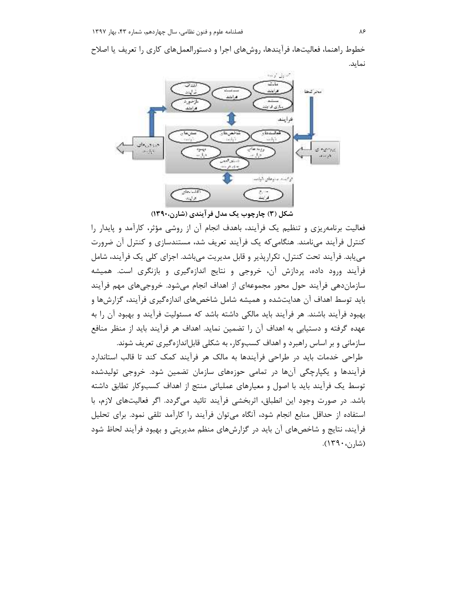خطوط راهنما، فعالیتها، فرآیندها، روشهای اجرا و دستورالعملهای کاری را تعریف یا اصلاح نمايد.



شکل (۳) چارچوب یک مدل فر آیندی (شارن،۱۳۹۰)

فعالیت برنامهریزی و تنظیم یک فرآیند، باهدف انجام آن از روشی مؤثر، کارآمد و پایدار را کنترل فرآیند می نامند. هنگامی که یک فرآیند تعریف شد، مستندسازی و کنترل آن ضرورت می یابد. فرآیند تحت کنترل، تکرارپذیر و قابل مدیریت میباشد. اجزای کلی یک فرآیند، شامل فرآیند ورود داده، پردازش آن، خروجی و نتایج اندازهگیری و بازنگری است. همیشه سازماندهی فرآیند حول محور مجموعهای از اهداف انجام میشود. خروجیهای مهم فرآیند باید توسط اهداف آن هدایتشده و همیشه شامل شاخصهای اندازهگیری فرآیند، گزارشها و بهبود فرآیند باشند. هر فرآیند باید مالکی داشته باشد که مسئولیت فرآیند و بهبود آن را به عهده گرفته و دستیابی به اهداف آن را تضمین نماید. اهداف هر فرآیند باید از منظر منافع سازمانی و بر اساس راهبرد و اهداف کسبوکار، به شکلی قابلاندازهگیری تعریف شوند.

طراحی خدمات باید در طراحی فرآیندها به مالک هر فرآیند کمک کند تا قالب استاندارد فرآیندها و یکپارچگی آنها در تمامی حوزههای سازمان تضمین شود. خروجی تولیدشده توسط یک فرآیند باید با اصول و معیارهای عملیاتی منتج از اهداف کسبوکار تطابق داشته باشد. در صورت وجود این انطباق، اثربخشی فرآیند تائید میگردد. اگر فعالیتهای لازم، با استفاده از حداقل منابع انجام شود، آنگاه می توان فرآیند را کارآمد تلقی نمود. برای تحلیل فرآیند، نتایج و شاخصهای آن باید در گزارشهای منظم مدیریتی و بهبود فرآیند لحاظ شود (شارن، ۱۳۹۰).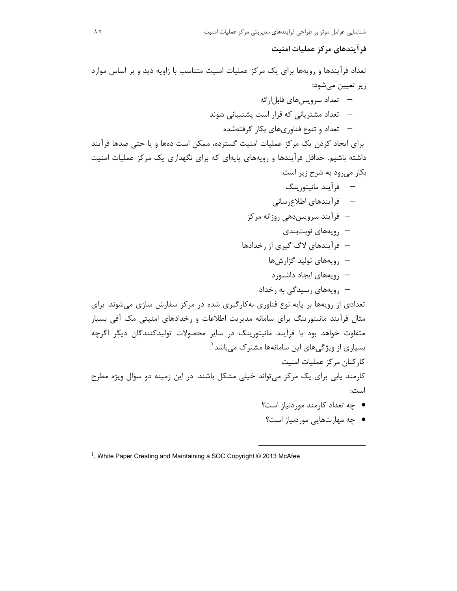فر آیندهای مرکز عملیات امنیت

تعداد فرآیندها و رویهها برای یک مرکز عملیات امنیت متناسب با زاویه دید و بر اساس موارد زير تعيين ميشود: — تعداد سرويس هاي قابل ارائه

- تعداد مشتریانی که قرار است پشتیبانی شوند — تعداد و تنوع فناوریهای بکار گرفتهشده

برای ایجاد کردن یک مرکز عملیات امنیت گسترده، ممکن است دهها و یا حتی صدها فرآیند داشته باشیم. حداقل فرآیندها و رویههای پایهای که برای نگهداری یک مرکز عملیات امنیت بکار می رود به شرح زیر است:

– فرآیند مانیتورینگ — فرآيندهاي اطلاع رساني – فرآیند سرویس دهی روزانه مرکز — رويەھاي نوبتېندى – فرآیندهای لاگ گیری از رخدادها – رویههای تولید گزارشها — , ویههای ایجاد داشبور د

تعدادی از رویهها بر پایه نوع فناوری بهکارگیری شده در مرکز سفارش سازی می شوند. برای مثال فرآیند مانیتورینگ برای سامانه مدیریت اطلاعات و رخدادهای امنیتی مک آفی بسیار متفاوت خواهد بود با فرآیند مانیتورینگ در سایر محصولات تولیدکنندگان دیگر اگرچه بسیاری از ویژگیهای این سامانهها مشترک میباشد <sup>٬</sup>. كاركنان مركز عمليات امنيت کارمند پابی برای یک مرکز می تواند خیلی مشکل باشند. در این زمینه دو سؤال ویژه مطرح است:

- چه تعداد کارمند موردنیاز است؟
- چه مهارتهایی موردنیاز است؟

 $1.$  White Paper Creating and Maintaining a SOC Copyright © 2013 McAfee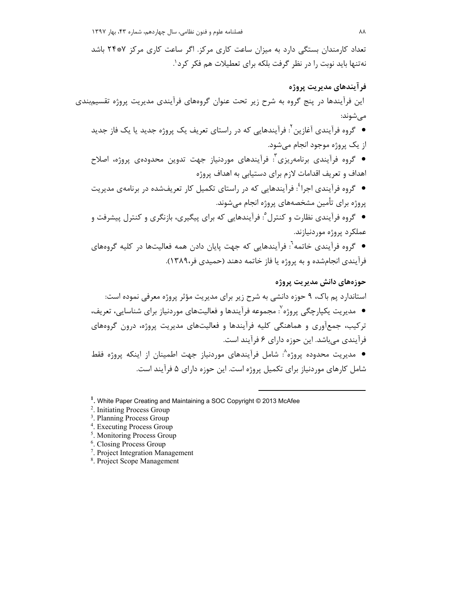تعداد کارمندان بستگی دارد به میزان ساعت کاری مرکز. اگر ساعت کاری مرکز ۲۴۰۰ باشد نه تنها باید نوبت را در نظر گرفت بلکه برای تعطیلات هم فکر کرد'.

فر آيندهاي مديريت پروژه این فرآیندها در پنج گروه به شرح زیر تحت عنوان گروههای فرآیندی مدیریت پروژه تقسیمبندی مىشوند: ● گروه فرآیندی آغازین<sup>۲</sup>: فرآیندهایی که در راستای تعریف یک پروژه جدید یا یک فاز جدید از یک پروژه موجود انجام می شود. • گروه فرآیندی برنامهریزی<sup>۳</sup>: فرآیندهای موردنیاز جهت تدوین محدودهی پروژه، اصلاح اهداف و تعریف اقدامات لازم برای دستیابی به اهداف پروژه ● گروه فرآیندی اجرا`: فرآیندهایی که در راستای تکمیل کار تعریفشده در برنامهی مدیریت پروژه برای تأمین مشخصههای پروژه انجام میشوند. ● گروه فرآیندی نظارت و کنترل°: فرآیندهایی که برای پیگیری، بازنگری و کنترل پیشرفت و عملكرد پروژه موردنيازند. ● گروه فرآیندی خاتمه<sup>٦</sup>: فرآیندهایی که جهت پایان دادن همه فعالیتها در کلیه گروههای فرآیندی انجامشده و به پروژه یا فاز خاتمه دهند (حمیدی فر،۱۳۸۹). حوزەهاي دانش مديريت پروژه استاندارد يم باک، ۹ حوزه دانشي به شرح زير براي مديريت مؤثر پروژه معرفي نموده است: ● مدیریت یکپارچگی پروژه`: مجموعه فرآیندها و فعالیتهای موردنیاز برای شناسایی، تعریف، ترکیب، جمعآوری و هماهنگی کلیه فرآیندها و فعالیتهای مدیریت پروژه، درون گروههای فرآیندی می باشد. این حوزه دارای ۶ فرآیند است. ● مدیریت محدوده یروژه^: شامل فرآیندهای موردنیاز جهت اطمینان از اینکه پروژه فقط شامل کارهای موردنیاز برای تکمیل پروژه است. این حوزه دارای ۵ فرآیند است.

<sup>1</sup>. White Paper Creating and Maintaining a SOC Copyright © 2013 McAfee

- <sup>2</sup>. Initiating Process Group
- <sup>3</sup>. Planning Process Group
- <sup>4</sup>. Executing Process Group

<sup>5</sup>. Monitoring Process Group

- <sup>6</sup>. Closing Process Group
- <sup>7</sup>. Project Integration Management
- <sup>8</sup>. Project Scope Management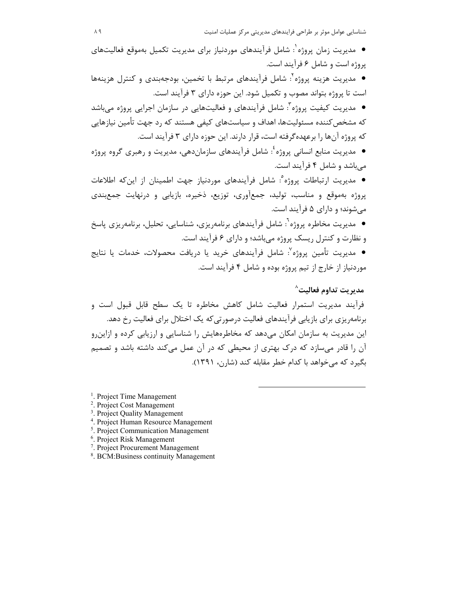شناسایی عوامل موثر بر طراحی فرایندهای مدیریتی مرکز عملیات امنیت

- مدیریت زمان پروژه`: شامل فرآیندهای موردنیاز برای مدیریت تکمیل بهموقع فعالیتهای پروژه است و شامل ۶ فرآیند است.
- مديريت هزينه پروژه': شامل فرآيندهاي مرتبط با تخمين، بودجهبندي و كنترل هزينهها است تا پروژه بتواند مصوب و تکمیل شود. این حوزه دارای ۳ فرآیند است.
- مدیریت کیفیت پروژه ؒ: شامل فرآیندهای و فعالیتهایی در سازمان اجرایی پروژه میباشد که مشخص کننده مسئولیتها، اهداف و سیاستهای کیفی هستند که رد جهت تأمین نیازهایی که پروژه آنها را برعهده گرفته است، قرار دارند. این حوزه دارای ۳ فرآیند است.
- مدیریت منابع انسانی پروژه ٔ: شامل فرآیندهای سازماندهی، مدیریت و رهبری گروه پروژه مے باشد و شامل ۴ فرآیند است.
- مدیریت ارتباطات پروژه ْ: شامل فراّیندهای موردنیاز جهت اطمینان از اینکه اطلاعات پروژه بهموقع و مناسب، تولید، جمعآوری، توزیع، ذخیره، بازیابی و درنهایت جمعبندی می شوند؛ و دارای ۵ فرآیند است.
- مدیریت مخاطره پروژه<sup>٦</sup>: شامل فرآیندهای برنامه٫پزی، شناسایی، تحلیل، برنامه٫پزی پاسخ و نظارت و کنترل ریسک پروژه میباشد؛ و دارای ۶ فرآیند است.
- مديريت تأمين يروژه<sup>٧</sup>: شامل فرآيندهاي خريد يا دريافت محصولات، خدمات يا نتايج موردنیاز از خارج از تیم پروژه بوده و شامل ۴ فرآیند است.

## $^{\wedge}$ مدبر بت تداوم فعالیت

فرآیند مدیریت استمرار فعالیت شامل کاهش مخاطره تا یک سطح قابل قبول است و برنامه٫یزی برای بازیابی فرآیندهای فعالیت درصورتی که یک اختلال برای فعالیت ٫خ دهد. این مدیریت به سازمان امکان میدهد که مخاطرههایش را شناسایی و ارزیابی کرده و ازاین و آن را قادر می سازد که درک بهتری از محیطی که در آن عمل می کند داشته باشد و تصمیم بگیرد که می خواهد با کدام خطر مقابله کند (شارن، ۱۳۹۱).

<sup>1</sup>. Project Time Management

- <sup>2</sup>. Project Cost Management
- <sup>3</sup>. Project Quality Management
- <sup>4</sup>. Project Human Resource Management
- <sup>5</sup>. Project Communication Management
- <sup>6</sup>. Project Risk Management
- <sup>7</sup>. Project Procurement Management
- <sup>8</sup>. BCM: Business continuity Management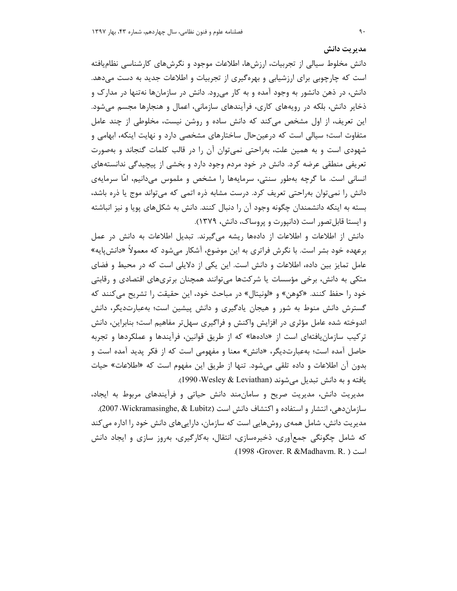دانش مخلوط سیالی از تجربیات، ارزشها، اطلاعات موجود و نگرشهای کارشناسی نظامیافته است که چارچوبی برای ارزشیابی و بهرهگیری از تجربیات و اطلاعات جدید به دست میدهد. دانش، در ذهن دانشور به وجود آمده و به کار می رود. دانش در سازمانها نهتنها در مدارک و ذخایر دانش، بلکه در رویههای کاری، فرآیندهای سازمانی، اعمال و هنجارها مجسم می شود. این تعریف، از اول مشخص میکند که دانش ساده و روشن نیست، مخلوطی از چند عامل متفاوت است؛ سیالی است که درعین حال ساختارهای مشخصی دارد و نهایت اینکه، ابهامی و شهودی است و به همین علت، بهراحتی نمیتوان آن را در قالب کلمات گنجاند و بهصورت تعریفی منطقی عرضه کرد. دانش در خود مردم وجود دارد و بخشی از پیچیدگی ندانستههای انسانی است. ما گرچه بهطور سنتی، سرمایهها را مشخص و ملموس میدانیم، امّا سرمایهی دانش را نمی توان بهراحتی تعریف کرد. درست مشابه ذره اتمی که می تواند موج یا ذره باشد، بسته به اینکه دانشمندان چگونه وجود آن را دنبال کنند. دانش به شکلهای پویا و نیز انباشته و ایستا قابل تصور است (دانیورت و پروساک، دانش، ۱۳۷۹).

دانش از اطلاعات و اطلاعات از دادهها ریشه میگیرند. تبدیل اطلاعات به دانش در عمل برعهده خود بشر است. با نگرش فراتری به این موضوع، آشکار می شود که معمولاً «دانش یایه» عامل تمایز بین داده، اطلاعات و دانش است. این یکی از دلایلی است که در محیط و فضای متکی به دانش، برخی مؤسسات یا شرکتها می توانند همچنان برتریهای اقتصادی و رقابتی خود را حفظ كنند. «كوهن» و «لونيتال» در مباحث خود، اين حقيقت را تشريح مي كنند كه گسترش دانش منوط به شور و هیجان یادگیری و دانش پیشین است؛ بهعبارتدیگر، دانش اندوخته شده عامل مؤثری در افزایش واکنش و فراگیری سهلتر مفاهیم است؛ بنابراین، دانش ترکیب سازمان یافتهای است از «دادهها» که از طریق قوانین، فرآیندها و عملکردها و تجربه حاصل آمده است؛ بهعبارتدیگر، «دانش» معنا و مفهومی است که از فکر پدید آمده است و بدون آن اطلاعات و داده تلقی می شود. تنها از طریق این مفهوم است که «اطلاعات» حیات يافته و به دانش تبديل مي شوند (Vesley & Leviathan)، 1990).

مدیریت دانش، مدیریت صریح و سامان مند دانش حیاتی و فرآیندهای مربوط به ایجاد، سازمان دهی، انتشار و استفاده و اکتشاف دانش است (Vickramasinghe, & Lubitz). مدیریت دانش، شامل همهی روشهایی است که سازمان، دارایی های دانش خود را اداره می کند که شامل چگونگی جمعآوری، ذخیرهسازی، انتقال، بهکارگیری، بهروز سازی و ایجاد دانش .(1998 Grover. R &Madhavm. R.) است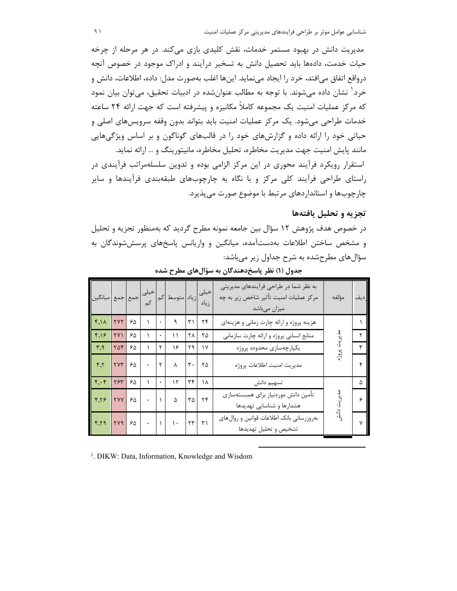مدیریت دانش در بهبود مستمر خدمات، نقش کلیدی بازی میکند. در هر مرحله از چرخه حیات خدمت، دادهها باید تحصیل دانش به تسخیر درآیند و ادراک موجود در خصوص آنچه درواقع اتفاق مي|فتد، خرد را ايجاد مي;مايد. اينها اغلب بهصورت مدل: داده، اطلاعات، دانش و خرد<sup>٬</sup> نشان داده می شوند. با توجه به مطالب عنوان شده در ادبیات تحقیق، می توان بیان نمود که مرکز عملیات امنیت یک مجموعه کاملاً مکانیزه و پیشرفته است که جهت ارائه ۲۴ ساعته خدمات طراحی میشود. یک مرکز عملیات امنیت باید بتواند بدون وقفه سرویسهای اصلی و حیاتی خود را ارائه داده و گزارشهای خود را در قالبهای گوناگون و بر اساس ویژگیهایی مانند پایش امنیت جهت مدیریت مخاطره، تحلیل مخاطره، مانیتورینگ و … ارائه نماید. استقرار رویکرد فرآیند محوری در این مرکز الزامی بوده و تدوین سلسلهمراتب فرآیندی در راستای طراحی فرآیند کلی مرکز و با نگاه به چارچوبهای طبقهبندی فرآیندها و سایر چارچوبها و استانداردهای مرتبط با موضوع صورت می پذیرد.

## تجزیه و تحلیل یافتهها

در خصوص هدف پژوهش ۱۲ سؤال بین جامعه نمونه مطرح گردید که بهمنظور تجزیه و تحلیل و مشخص ساختن اطلاعات بهدستآمده، میانگین و واریانس پاسخهای پرسششوندگان به سؤال های مطرحشده به شرح جداول زیر میباشد:

| خیلی <mark>زیاد </mark> متوسط کم <mark>خیلی </mark> جمع <mark>جمع میانگین</mark><br>زیاد ل |                                  |                       |                     |                 |                |                               | به نظر شما در طراحی فرآیندهای مدیریتی<br>مرکز عملیات امنیت تأثیر شاخص زیر به چه<br>میزان میباشد | مؤلفه | رديف |
|--------------------------------------------------------------------------------------------|----------------------------------|-----------------------|---------------------|-----------------|----------------|-------------------------------|-------------------------------------------------------------------------------------------------|-------|------|
| $\mathbf{r}, \mathbf{v}$                                                                   | $\mathsf{r}\mathsf{v}\mathsf{r}$ | 50                    | $\vert \cdot \vert$ | ٩               | $\mathsf{r}_1$ | $\mathbf{r}$                  | هزینه پروژه و ارائه چارت زمانی و هزینهای                                                        |       |      |
| $F,18$ $TV1$ $80$                                                                          |                                  |                       | $\rightarrow$ .     | ۱۱              | ۲۸             | ٢۵                            | منابع انسانی پروژه و ارائه چارت سازمانی                                                         |       |      |
| $\parallel$ r,q                                                                            |                                  | $Y\Delta Y$ $5\Delta$ | $\tau$              | ۱۶              | ٢٩             | $\gamma$                      | يكپارچەسازى محدوده پروژه                                                                        |       |      |
| $\parallel$ f,r                                                                            | $rrr$ $50$                       |                       | $\mathbf{r}$        | $\lambda$       | $\mathbf{r}$ . | $\mathsf{r}\,\mathsf{\Delta}$ | مديريت امنيت اطلاعات پروژه                                                                      |       |      |
| $\boxed{\mathbf{F},\mathbf{F}}$                                                            |                                  | $YST$ $90$            |                     | $\cdot$ $\cdot$ | ٣۴             | ١٨                            | تسهيم دانش                                                                                      |       |      |
| F, F                                                                                       | $ YYY $ $\geq \Delta$            |                       |                     | $\Delta$        | $\tau \Delta$  | $\tau$                        | تأمين دانش موردنياز براي همبستهسازي<br>هشدارها و شناسایی تهدیدها                                |       |      |
|                                                                                            |                                  |                       |                     |                 |                |                               | بهروزرساني بانك اطلاعات قوانين و روالهاى<br>تشخيص و تحليل تهديدها                               |       |      |

جدول (۱) نظر پاسخدهندگان به سؤالهای مطرح شده

<sup>1</sup>. DIKW: Data, Information, Knowledge and Wisdom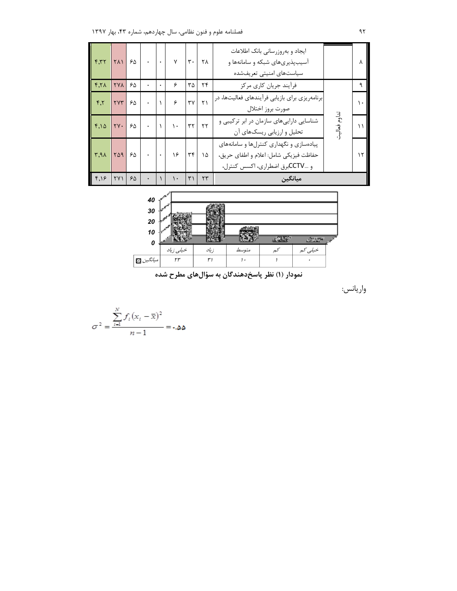| F, T                          | <b>TA1</b>                  | ۶۵ |  | $\mathsf{v}$ | ٣.           | ۲۸         | ایجاد و بهروزرسانی بانک اطلاعات<br>آسیبپذیریهای شبکه و سامانهها و<br>سیاستهای امنیتی تعریفشده                       |  |
|-------------------------------|-----------------------------|----|--|--------------|--------------|------------|---------------------------------------------------------------------------------------------------------------------|--|
| Y.Y                           | <b>٢٧٨</b>                  | ۶۵ |  | ۶            | ۳۵           | ۲۴         | فرأيند جريان كارى مركز                                                                                              |  |
| $\mathsf{r}.\mathsf{r}$       | <b>TYT</b>                  | ۶۵ |  | ۶            | ٣٧           | ۲١         | برنامهریزی برای بازیابی فرآیندهای فعالیتها، در<br>صورت بروز اختلال                                                  |  |
| $f, \Delta$                   | $\mathsf{Y}\mathsf{Y}\cdot$ | ۶۵ |  | ١.           | ٣٢           | $\tau\tau$ | شناسایی داراییهای سازمان در ابر ترکیبی و<br>تحلیل و ارزیابی ریسکهای آن                                              |  |
| $\mathsf{r},\mathsf{a}\wedge$ | ٢۵٩                         | ۶۵ |  | ۱۶           | ٣۴           | ۱۵         | پیادهسازی و نگهداری کنترلها و سامانههای<br>حفاظت فيزيكي شامل: اعلام و اطفاي حريق،<br>و CCTVبرق اضطراري، اكسس كنترل، |  |
| F, I                          | ۲۷۱                         | ۶۵ |  | ۱۰           | $\mathsf{r}$ | ٢٣         | مىانگىن                                                                                                             |  |



نمودار (۱) نظر پاسخدهندگان به سؤالهای مطرح شده

واريانس:

$$
\sigma^2 = \frac{\sum_{i=1}^N f_i (x_i - \overline{x})^2}{n-1} = \text{Lap}
$$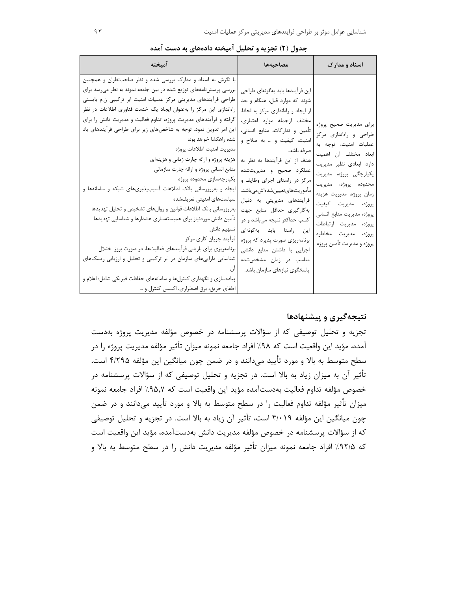|  |  |  |  | جدول (۲) تجزیه و تحلیل امیخته دادههای به دست امده |  |  |  |  |  |  |
|--|--|--|--|---------------------------------------------------|--|--|--|--|--|--|
|--|--|--|--|---------------------------------------------------|--|--|--|--|--|--|

| آميخته                                                                                                                                                                                                                                                                                                                                                                                                                                                                                                                                                                                                                                                                                                                                                                                                                                                                                                                                                                                                                                                                                                                               | مصاحبهها                                                                                                                                                                                                                                                                                                                                                                                                                                                                                                                                                                                         | اسناد و مدارک                                                                                                                                                                                                                                                                                                                                    |
|--------------------------------------------------------------------------------------------------------------------------------------------------------------------------------------------------------------------------------------------------------------------------------------------------------------------------------------------------------------------------------------------------------------------------------------------------------------------------------------------------------------------------------------------------------------------------------------------------------------------------------------------------------------------------------------------------------------------------------------------------------------------------------------------------------------------------------------------------------------------------------------------------------------------------------------------------------------------------------------------------------------------------------------------------------------------------------------------------------------------------------------|--------------------------------------------------------------------------------------------------------------------------------------------------------------------------------------------------------------------------------------------------------------------------------------------------------------------------------------------------------------------------------------------------------------------------------------------------------------------------------------------------------------------------------------------------------------------------------------------------|--------------------------------------------------------------------------------------------------------------------------------------------------------------------------------------------------------------------------------------------------------------------------------------------------------------------------------------------------|
| با نگرش به اسناد و مدارک بررسی شده و نظر صاحبنظران و همچنین<br>بررسی پرسشنامههای توزیع شده در بین جامعه نمونه به نظر میرسد برای<br>طراحی فرآیندهای مدیریتی مرکز عملیات امنیت ابر ترکیبی ن.م بایستی<br>راهاندازی این مرکز را بهعنوان ایجاد یک خدمت فناوری اطلاعات در نظر<br>گرفته و فرآیندهای مدیریت پروژه، تداوم فعالیت و مدیریت دانش را برای<br>این امر تدوین نمود. توجه به شاخصهای زیر برای طراحی فرآیندهای یاد<br>  شده راهگشا خواهد بود:<br>مديريت امنيت اطلاعات پروژه<br>هزینه پروژه و ارائه چارت زمانی و هزینهای<br>منابع انسانی پروژه و ارائه چارت سازمانی<br>  يکپارچەسازى محدودە پروژە<br>ایجاد و بهروزرسانی بانک اطلاعات آسیبپذیریهای شبکه و سامانهها و<br>  سیاستهای امنیتی تعریفشده<br>بهروزرساني بانك اطلاعات قوانين و روالهاى تشخيص و تحليل تهديدها<br>تأمين دانش موردنياز براي همبستهسازي هشدارها و شناسايي تهديدها<br>  تسهیم دانش<br>  فرأيند جريان كاري مركز<br>برنامهریزی برای بازیابی فرآیندهای فعالیتها، در صورت بروز اختلال<br>شناسایی داراییهای سازمان در ابر ترکیبی و تحلیل و ارزیابی ریسکهای<br>پیادهسازی و نگهداری کنترلها و سامانههای حفاظت فیزیکی شامل: اعلام و<br>اطفای حریق، برق اضطراری، اکسس کنترل و | اين فرآيندها بايد بهگونهاي طراحي<br>شوند که موارد قبل، هنگام و بعد<br>از ایجاد و راهاندازی مرکز به لحاظ<br>مختلف ازجمله موارد اعتبارى،<br>تأمين وتداركات، منابع انسانى،<br>امنيت، كيفيت و  به صلاح و<br>  صرفه باشد.<br>هدف از این فرآیندها به نظر به<br>عملكرد صحيح و مديريتشده<br>مرکز در راستای اجرای وظایف و<br>مأموريتهايتعيينشدهاشمىباشد.<br>فرآیندهای مدیریتی به دنبال<br>به كاركيرى حداقل منابع جهت<br>کسب حداکثر نتیجه میباشد و در<br>این راستا باید بهگونهای<br>برنامهریزی صورت پذیرد که پروژه<br>اجرایی با داشتن منابع دانشی<br>مناسب در زمان مشخصشده<br>پاسخگوی نیازهای سازمان باشد. | برای مدیریت صحیح پروژه<br>طراحی و راهاندازی مرکز<br>عمليات امنيت، توجه به<br>ابعاد مختلف آن اهميت<br>دارد. ابعادی نظیر مدیریت<br>يکپارچگى پروژە، مديريت<br>محدوده پروژه، مدیریت<br>زمان پروژه، مدیریت هزینه<br>پروژه، مدیریت کیفیت<br>پروژه، مدیریت منابع انسانی<br>پروژه، مدیریت ارتباطات<br>پروژه، مديريت مخاطره<br>پروژه و مديريت تأمين پروژه |

## نتیجهگیری و پیشنهادها

تجزیه و تحلیل توصیفی که از سؤالات پرسشنامه در خصوص مؤلفه مدیریت پروژه بهدست آمده، مؤيد اين واقعيت است كه ٩٨٪ افراد جامعه نمونه ميزان تأثير مؤلفه مديريت پروژه را در سطح متوسط به بالا و مورد تأييد مي<انند و در ضمن چون ميانگين اين مؤلفه ۴/۲۹۵ است، تأثیر آن به میزان زیاد به بالا است. در تجزیه و تحلیل توصیفی که از سؤالات پرسشنامه در خصوص مؤلفه تداوم فعاليت بهدستآمده مؤيد اين واقعيت است كه ٩٥٫٧٪ افراد جامعه نمونه میزان تأثیر مؤلفه تداوم فعالیت را در سطح متوسط به بالا و مورد تأیید میدانند و در ضمن چون میانگین این مؤلفه ۴/۰۱۹ است، تأثیر آن زیاد به بالا است. در تجزیه و تحلیل توصیفی كه از سؤالات پرسشنامه در خصوص مؤلفه مديريت دانش بهدستآمده، مؤيد اين واقعيت است که ۹۲/۵٪ افراد جامعه نمونه میزان تأثیر مؤلفه مدیریت دانش را در سطح متوسط به بالا و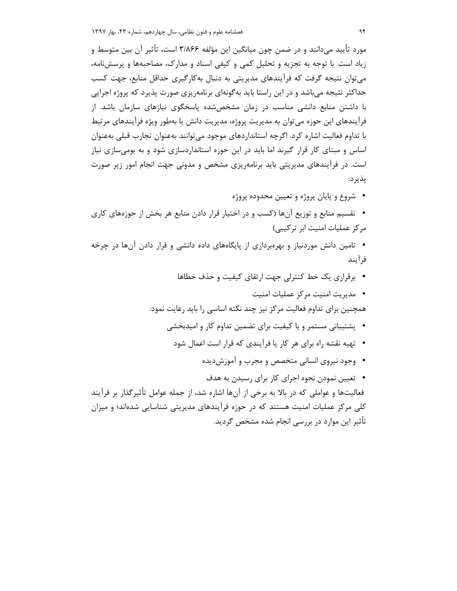مورد تأييد ميدانند و در ضمن چون ميانگين اين مؤلفه ٣/٨۶۶ است، تأثير آن بين متوسط و زیاد است. با توجه به تجزیه و تحلیل کمی و کیفی اسناد و مدارک، مصاحبهها و پرسشنامه، می توان نتیجه گرفت که فرآیندهای مدیریتی به دنبال بهکارگیری حداقل منابع، جهت کسب حداکثر نتیجه میباشد و در این راستا باید بهگونهای برنامهریزی صورت پذیرد که پروژه اجرایی با داشتن منابع دانشی مناسب در زمان مشخصشده یاسخگوی نیازهای سازمان باشد. از فرآیندهای این حوزه میتوان به مدیریت پروژه، مدیریت دانش یا بهطور ویژه فرآیندهای مرتبط با تداوم فعالیت اشاره کرد. اگرچه استانداردهای موجود میتوانند بهعنوان تجارب قبلی بهعنوان اساس و مبنای کار قرار گیرند اما باید در این حوزه استانداردسازی شود و به بومی سازی نیاز است. در فرآیندهای مدیریتی باید برنامهریزی مشخص و مدونی جهت انجام امور زیر صورت پذير د:

- شروع و پایان پروژه و تعیین محدوده پروژه
- تقسیم منابع و توزیع آنها (کسب و در اختیار قرار دادن منابع هر بخش از حوزههای کاری مرکز عملیات امنیت ابر ترکیبی)
- تامین دانش موردنیاز و بهروبرداری از پایگاههای داده دانشی و قرار دادن آنها در چرخه فر آیند
	- برقراری یک خط کنترلی جهت ارتقای کیفیت و حذف خطاها
	- مديريت امنيت مركز عمليات امنيت همچنین برای تداوم فعالیت مرکز نیز چند نکته اساسی را باید رعایت نمود:
		- پشتیبانی مستمر و با کیفیت برای تضمین تداوم کار و امیدبخشی
			- تهیه نقشه راه برای هر کار یا فرآیندی که قرار است اعمال شود
				- وجود نيروى انسانى متخصص و مجرب و آموزش ديده
- تعیین نمودن نحوه اجرای کار برای رسیدن به هدف فعالیتها و عواملی که در بالا به برخی از آنها اشاره شد، از جمله عوامل تأثیرگذار بر فرآیند کلی مرکز عملیات امنیت هستند که در حوزه فرآیندهای مدیریتی شناسایی شدهاند؛ و میزان تأثیر این موارد در بررسی انجام شده مشخص گردید.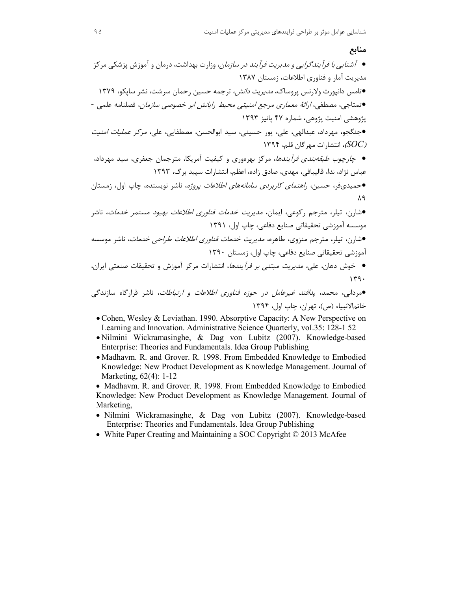## منابع

خاتم الانبياء (ص)، تهران، چاپ اول، ١٣٩۴

- Cohen, Wesley & Leviathan. 1990. Absorptive Capacity: A New Perspective on Learning and Innovation. Administrative Science Quarterly, vol.35: 128-1 52
- · Nilmini Wickramasinghe, & Dag von Lubitz (2007). Knowledge-based Enterprise: Theories and Fundamentals. Idea Group Publishing
- · Madhavm. R. and Grover. R. 1998. From Embedded Knowledge to Embodied Knowledge: New Product Development as Knowledge Management. Journal of Marketing, 62(4): 1-12

• Madhavm. R. and Grover. R. 1998. From Embedded Knowledge to Embodied Knowledge: New Product Development as Knowledge Management. Journal of Marketing,

- · Nilmini Wickramasinghe, & Dag von Lubitz (2007). Knowledge-based Enterprise: Theories and Fundamentals. Idea Group Publishing
- White Paper Creating and Maintaining a SOC Copyright © 2013 McAfee